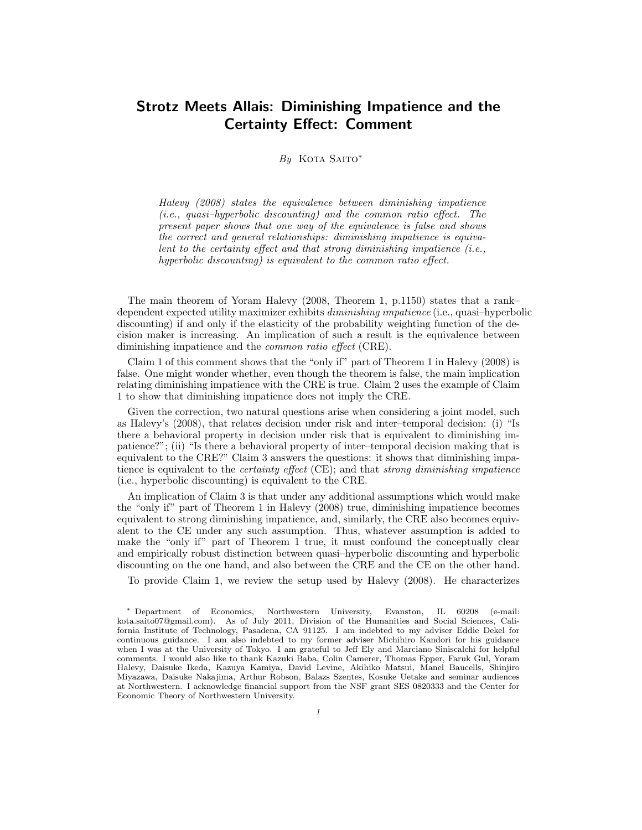# **Strotz Meets Allais: Diminishing Impatience and the Certainty Effect: Comment**

# *By* Kota Saito*<sup>∗</sup>*

*Halevy (2008) states the equivalence between diminishing impatience (i.e., quasi–hyperbolic discounting) and the common ratio effect. The present paper shows that one way of the equivalence is false and shows the correct and general relationships: diminishing impatience is equivalent to the certainty effect and that strong diminishing impatience (i.e., hyperbolic discounting) is equivalent to the common ratio effect.*

The main theorem of Yoram Halevy (2008, Theorem 1, p.1150) states that a rank– dependent expected utility maximizer exhibits *diminishing impatience* (i.e., quasi–hyperbolic discounting) if and only if the elasticity of the probability weighting function of the decision maker is increasing. An implication of such a result is the equivalence between diminishing impatience and the *common ratio effect* (CRE).

Claim 1 of this comment shows that the "only if" part of Theorem 1 in Halevy (2008) is false. One might wonder whether, even though the theorem is false, the main implication relating diminishing impatience with the CRE is true. Claim 2 uses the example of Claim 1 to show that diminishing impatience does not imply the CRE.

Given the correction, two natural questions arise when considering a joint model, such as Halevy's (2008), that relates decision under risk and inter–temporal decision: (i) "Is there a behavioral property in decision under risk that is equivalent to diminishing impatience?"; (ii) "Is there a behavioral property of inter–temporal decision making that is equivalent to the CRE?" Claim 3 answers the questions: it shows that diminishing impatience is equivalent to the *certainty effect* (CE); and that *strong diminishing impatience* (i.e., hyperbolic discounting) is equivalent to the CRE.

An implication of Claim 3 is that under any additional assumptions which would make the "only if" part of Theorem 1 in Halevy (2008) true, diminishing impatience becomes equivalent to strong diminishing impatience, and, similarly, the CRE also becomes equivalent to the CE under any such assumption. Thus, whatever assumption is added to make the "only if" part of Theorem 1 true, it must confound the conceptually clear and empirically robust distinction between quasi–hyperbolic discounting and hyperbolic discounting on the one hand, and also between the CRE and the CE on the other hand.

To provide Claim 1, we review the setup used by Halevy (2008). He characterizes

*<sup>∗</sup>* Department of Economics, Northwestern University, Evanston, IL 60208 (e-mail: kota.saito07@gmail.com). As of July 2011, Division of the Humanities and Social Sciences, California Institute of Technology, Pasadena, CA 91125. I am indebted to my adviser Eddie Dekel for continuous guidance. I am also indebted to my former adviser Michihiro Kandori for his guidance when I was at the University of Tokyo. I am grateful to Jeff Ely and Marciano Siniscalchi for helpful comments. I would also like to thank Kazuki Baba, Colin Camerer, Thomas Epper, Faruk Gul, Yoram Halevy, Daisuke Ikeda, Kazuya Kamiya, David Levine, Akihiko Matsui, Manel Baucells, Shinjiro Miyazawa, Daisuke Nakajima, Arthur Robson, Balazs Szentes, Kosuke Uetake and seminar audiences at Northwestern. I acknowledge financial support from the NSF grant SES 0820333 and the Center for Economic Theory of Northwestern University.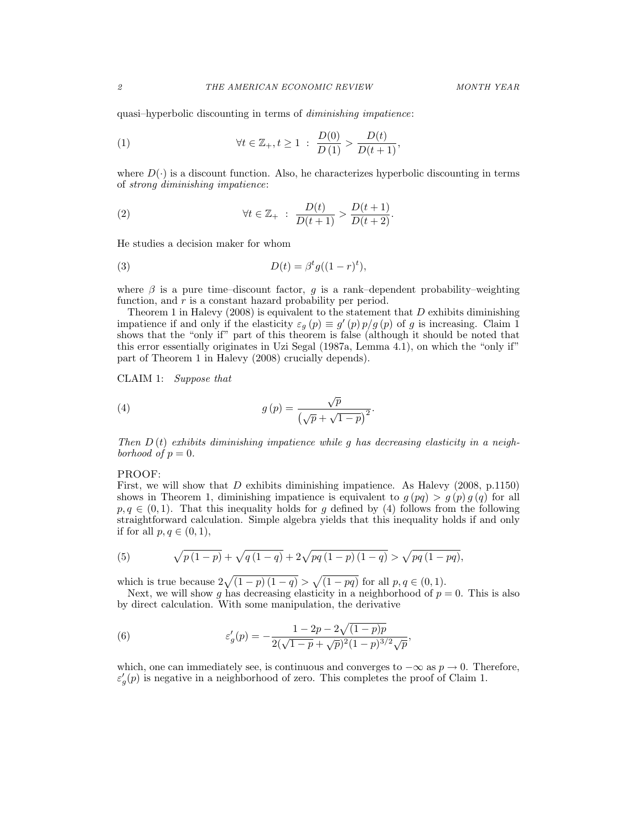quasi–hyperbolic discounting in terms of *diminishing impatience*:

(1) 
$$
\forall t \in \mathbb{Z}_+, t \geq 1 \; : \; \frac{D(0)}{D(1)} > \frac{D(t)}{D(t+1)},
$$

where  $D(\cdot)$  is a discount function. Also, he characterizes hyperbolic discounting in terms of *strong diminishing impatience*:

(2) 
$$
\forall t \in \mathbb{Z}_+ : \frac{D(t)}{D(t+1)} > \frac{D(t+1)}{D(t+2)}
$$
.

He studies a decision maker for whom

(3) 
$$
D(t) = \beta^t g((1 - r)^t),
$$

where  $\beta$  is a pure time–discount factor,  $q$  is a rank–dependent probability–weighting function, and r is a constant hazard probability per period.

Theorem 1 in Halevy (2008) is equivalent to the statement that *D* exhibits diminishing impatience if and only if the elasticity  $\varepsilon_g(p) \equiv g'(p)p/g(p)$  of *g* is increasing. Claim 1 shows that the "only if" part of this theorem is false (although it should be noted that this error essentially originates in Uzi Segal (1987a, Lemma 4.1), on which the "only if" part of Theorem 1 in Halevy (2008) crucially depends).

CLAIM 1: *Suppose that*

(4) 
$$
g(p) = \frac{\sqrt{p}}{(\sqrt{p} + \sqrt{1-p})^2}.
$$

*Then D* (*t*) *exhibits diminishing impatience while g has decreasing elasticity in a neighborhood* of  $p = 0$ .

### PROOF:

First, we will show that *D* exhibits diminishing impatience. As Halevy (2008, p.1150) shows in Theorem 1, diminishing impatience is equivalent to  $q(pq) > q(p) q(q)$  for all  $p, q \in (0, 1)$ . That this inequality holds for *q* defined by (4) follows from the following straightforward calculation. Simple algebra yields that this inequality holds if and only if for all  $p, q \in (0, 1)$ ,

(5) 
$$
\sqrt{p(1-p)} + \sqrt{q(1-q)} + 2\sqrt{pq(1-p)(1-q)} > \sqrt{pq(1-pq)},
$$

which is true because  $2\sqrt{(1-p)(1-q)} > \sqrt{(1-pq)}$  for all  $p, q \in (0,1)$ .

Next, we will show g has decreasing elasticity in a neighborhood of  $p = 0$ . This is also by direct calculation. With some manipulation, the derivative

(6) 
$$
\varepsilon_g'(p) = -\frac{1 - 2p - 2\sqrt{(1 - p)p}}{2(\sqrt{1 - p} + \sqrt{p})^2 (1 - p)^{3/2} \sqrt{p}},
$$

which, one can immediately see, is continuous and converges to *−∞* as *p →* 0. Therefore,  $\varepsilon'_{g}(p)$  is negative in a neighborhood of zero. This completes the proof of Claim 1.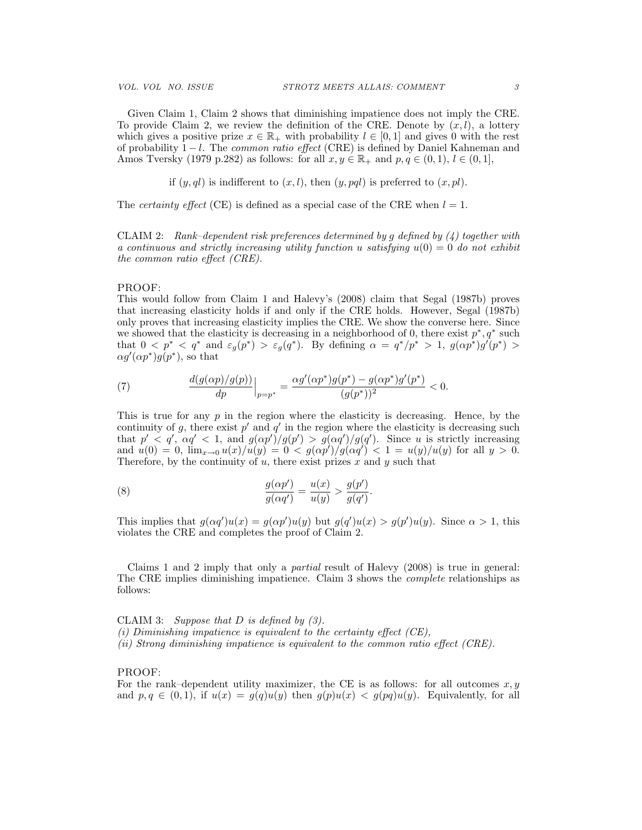Given Claim 1, Claim 2 shows that diminishing impatience does not imply the CRE. To provide Claim 2, we review the definition of the CRE. Denote by  $(x, l)$ , a lottery which gives a positive prize  $x \in \mathbb{R}_+$  with probability  $l \in [0,1]$  and gives 0 with the rest of probability 1 *− l*. The *common ratio effect* (CRE) is defined by Daniel Kahneman and Amos Tversky (1979 p.282) as follows: for all  $x, y \in \mathbb{R}_+$  and  $p, q \in (0,1), l \in (0,1]$ ,

if  $(y, gl)$  is indifferent to  $(x, l)$ , then  $(y, pal)$  is preferred to  $(x, pl)$ .

The *certainty effect* (CE) is defined as a special case of the CRE when  $l = 1$ .

CLAIM 2: *Rank–dependent risk preferences determined by g defined by (4) together with a continuous and strictly increasing utility function u satisfying*  $u(0) = 0$  *do not exhibit the common ratio effect (CRE).*

#### PROOF:

This would follow from Claim 1 and Halevy's (2008) claim that Segal (1987b) proves that increasing elasticity holds if and only if the CRE holds. However, Segal (1987b) only proves that increasing elasticity implies the CRE. We show the converse here. Since we showed that the elasticity is decreasing in a neighborhood of 0, there exist  $p^*$ ,  $q^*$  such that  $0 < p^* < q^*$  and  $\varepsilon_g(p^*) > \varepsilon_g(q^*)$ . By defining  $\alpha = q^*/p^* > 1$ ,  $g(\alpha p^*)g'(p^*) >$  $\alpha g'(\alpha p^*)g(p^*)$ , so that

(7) 
$$
\frac{d(g(\alpha p)/g(p))}{dp}\Big|_{p=p^*} = \frac{\alpha g'(\alpha p^*)g(p^*) - g(\alpha p^*)g'(p^*)}{(g(p^*))^2} < 0.
$$

This is true for any *p* in the region where the elasticity is decreasing. Hence, by the continuity of  $g$ , there exist  $p'$  and  $q'$  in the region where the elasticity is decreasing such that  $p' < q'$ ,  $\alpha q' < 1$ , and  $g(\alpha p')/g(p') > g(\alpha q')/g(q')$ . Since u is strictly increasing and  $u(0) = 0$ ,  $\lim_{x\to 0} u(x)/u(y) = 0 < g(\alpha p')/g(\alpha q') < 1 = u(y)/u(y)$  for all  $y > 0$ . Therefore, by the continuity of *u*, there exist prizes *x* and *y* such that

(8) 
$$
\frac{g(\alpha p')}{g(\alpha q')} = \frac{u(x)}{u(y)} > \frac{g(p')}{g(q')}.
$$

This implies that  $g(\alpha q')u(x) = g(\alpha p')u(y)$  but  $g(q')u(x) > g(p')u(y)$ . Since  $\alpha > 1$ , this violates the CRE and completes the proof of Claim 2.

Claims 1 and 2 imply that only a *partial* result of Halevy (2008) is true in general: The CRE implies diminishing impatience. Claim 3 shows the *complete* relationships as follows:

CLAIM 3: *Suppose that D is defined by (3). (i) Diminishing impatience is equivalent to the certainty effect (CE), (ii) Strong diminishing impatience is equivalent to the common ratio effect (CRE).*

## PROOF:

For the rank–dependent utility maximizer, the CE is as follows: for all outcomes *x, y* and  $p, q \in (0, 1)$ , if  $u(x) = g(q)u(y)$  then  $g(p)u(x) < g(pq)u(y)$ . Equivalently, for all